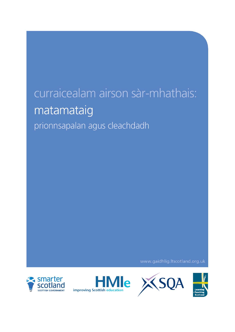# curraicealam airson sàr-mhathais: matamataig prionnsapalan agus cleachdadh

www.gaidhlig.ltscotland.org.uk







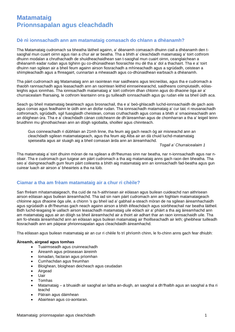## **Dè nì ionnsachadh ann am matamataig comasach do chlann a dhèanamh?**

Tha Matamataig cudromach sa bheatha làitheil againn, a' dèanamh comasach dhuinn ciall a dhèanamh den tsaoghal mun cuairt oirnn agus rian a chur air ar beatha. Tha a bhith a' cleachdadh matamataig a' toirt cothrom dhuinn modalan a chruthachadh de shuidheachaidhean san t-saoghal mun cuairt oirnn, ceanglaichean a dhèanamh eadar rudan agus tighinn gu co-dhùnaidhean fiosraichte mu dè tha a' dol a thachairt. Tha e a' toirt dhuinn nan sgilean air a bheil feum againn airson fiosrachadh a mhìneachadh agus a sgrùdadh, ceistean a shìmpleachadh agus a fhreagairt, cunnartan a mheasadh agus co-dhùnaidhean earbsach a dhèanamh.

Tha pàirt cudromach aig Matamataig ann an raointean mar saidheans agus teicneòlas, agus tha e cudromach a thaobh rannsachadh agus leasachadh ann an raointean leithid einnseinearachd, saidheans coimpiutaidh, eòlasleighis agus ionmhas. Tha ionnsachadh matamataig a' toirt cothrom dhan chloinn agus do dhaoine òga air a' churraicealam fharsaing, le cothrom leantainn orra gu tuilleadh ionnsachaidh agus gu rudan eile sa bheil ùidh aca.

Seach gu bheil matamataig beairteach agus brosnachail, tha e a' beò-ghlacadh luchd-ionnsachaidh de gach aois agus comas agus feadhainn le ùidh ann an diofar rudan. Tha ionnsachadh matamataig a' cur taic ri reusanachadh cothromach, sgrùdadh, sgil fuasglaidh cheistean, comas cruthachaidh agus comas a bhith a' smaoineachaidh ann an dòighean ùra. Tha e a' cleachdadh cànan coitcheann de dh'àireamhan agus de chomharran a tha a' leigeil leinn bruidhinn mu ghnothaichean ann an dòigh sgiobalta, shoilleir agus chinnteach.

Gus coinneachadh ri dùbhlain an 21mh linne, tha feum aig gach neach òg air misneachd ann an cleachdadh sgilean matamataigeach, agus tha feum aig Alba air an dà chuid luchd-matamataig speisealta agus air sluagh aig a bheil comasan àrda ann an àireamhachd.

*Togail a' Churraicealaim 1*

Tha matamataig a' toirt dhuinn mòran de na sgilean a dh'fheumas sinn nar beatha, nar n-ionnsachadh agus nar nobair. Tha e cudromach gun tuigear am pàirt cudromach a tha aig matamataig anns gach raon den bheatha. Tha seo a' daingneachadh gum feum pàirt coileanta a bhith aig matamataig ann an ionnsachadh fad-beatha agus gun cuirear luach air airson a' bheairteis a tha na lùib.

## **Ciamar a tha am frèam matamataig air a chur ri chèile?**

San fhrèam mhatamataigeach, tha cuid de na h-aithrisean air eòlasan agus builean cuideachd nan aithrisean airson eòlasan agus builean àireamhachd. Tha iad sin nam pàirt cudromach ann am foghlam matamataigeach chloinne agus dhaoine òga uile, a chionn 's gu bheil iad a' gabhail a-steach mòran de na sgilean àireamhachaidh agus sgrùdaidh a dh'fheumas gach neach againn airson a bhith èifeachdach agus soirbheachail nar beatha làitheil. Bidh luchd-teagaisg le uallach airson leasachadh matamataig uile eòlach air a' phàirt a tha aig àireamhachd ann am matamataig agus air an dòigh sa bheil àireamhachd air a thoirt air adhart thar an raon ionnsachaidh uile. Tha am fo-sheata àireamhachd ann an eòlasan agus builean matamataig air fhoillseachadh air leth; gheibhear tuilleadh fiosrachaidh ann am pàipear phrionnsapalan agus cleachdaidh àireamhachd.

Tha eòlasan agus builean matamataig air an cur ri chèile fo trì phrìomh chinn, le fo-chinn anns gach fear dhiubh:

## **Àireamh, airgead agus tomhas**

- Tuairmseadh agus cruinneachadh
- Àireamh agus pròiseasan àireimh
- Iomadan, factaran agus prìomhan
- Cumhachdan agus freumhan
- Bloighean, bloighean deicheach agus ceudadan
- Airgead
- Uair
- Tomhas
- Matamataig a bhuaidh air saoghal an latha an-diugh, an saoghal a dh'fhalbh agus an saoghal a tha ri teachd
- Pàtrain agus dàimhean
- Abairtean agus co-aontaran.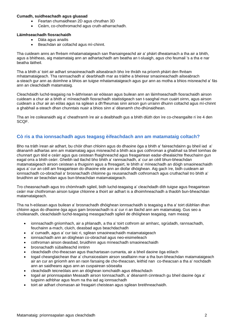### **Cumadh, suidheachadh agus gluasad**

- Feartan chumaidhean 2D agus chruthan 3D
- Ceàrn, co-chothromachd agus cruth-atharrachadh.

#### **Làimhseachadh fiosrachaidh**

- Dàta agus anailis
- Beachdan air coltachd agus mì-chinnt.

Tha cuideam anns an fhrèam mhatamataigeach san fharsaingeachd air a' phàirt dheatamach a tha air a bhith, agus a bhitheas, aig matamataig ann an adhartachadh am beatha an t-sluaigh, agus cho feumail 's a tha e nar beatha làitheil.

Tha a bhith a' toirt air adhart smaoineachadh ailseabrach bho ìre thràth na prìomh phàirt den fhrèam mhatamataigeach. Tha rannsachadh a' dearbhadh mar as tràithe a bheirear smaoineachadh ailseabrach a-steach gur ann as doimhne a bhios an tuigse mhatamataigeach agus gur ann as motha a bhios misneachd a' fàs ann an cleachdadh matamataig.

Cleachdaidh luchd-teagaisg na h-àithrisean air eòlasan agus builean ann an làimhseachadh fiosrachaidh airson cuideam a chur air a bhith a' mìneachadh fiosrachadh staitistigeach san t-saoghal mun cuairt oirnn, agus airson cuideam a chur air an eòlas agus na sgilean a dh'fheumas sinn airson gun urrainn dhuinn coltachd agus mì-chinnt a ghabhail a-steach dhan chunntais nuair a bhios sinn a' dèanamh cho-dhùnaidhean.

Tha an ìre coileanaidh aig a' cheathramh ìre air a dealbhadh gus a bhith dlùth don ìre co-cheangailte ri ìre 4 den SCQF.

## **Cò ris a tha ionnsachadh agus teagasg èifeachdach ann am matamataig coltach?**

Bho na tràth ìrean air adhart, bu chòir dhan chloinn agus do dhaoine òga a bhith a' faireachdainn gu bheil iad a' dèanamh adhartas ann am matamataig agus misneachd a bhith aca gus cothroman a ghabhail sa bheil tomhas de chunnart gun tèid e ceàrr agus gus ceistean fhaighneachd agus freagairtean eadar-dhealaichte fheuchainn gun eagal orra a bhith ceàrr. Gheibh iad tlachd bho bhith a' rannsachadh, a' cur an cèill bhun-bheachdan matamataigeach airson ceistean a thuigsinn agus a fhreagairt, le bhith a' mìneachadh an dòigh smaoineachaidh agus a' cur an cèill am freagairtean do dhaoine eile ann an diofar dhòighean. Aig gach ìre, bidh cuideam air ionnsachadh co-obrachail a' brosnachadh chloinne gu reusanachadh cothromach agus cruthachail tro bhith a' bruidhinn air beachdan agus bun-bheachdan matamataigeach.

Tro cheasnachadh agus tro chòmhradh sgileil, bidh luchd-teagaisg a' cleachdadh dìth tuigse agus freagairtean ceàrr mar chothroman airson tuigse chloinne a thoirt air adhart is a dhoimhneachadh a thaobh bun-bheachdan matamataigeach.

Tha na h-eòlasan agus builean a' brosnachadh dhòighean ionnsachaidh is teagaisg a tha a' toirt dùbhlan dhan chloinn agus do dhaoine òga agus gam brosnachadh is a' cur ri an tlachd ann am matamataig. Gus seo a choileanadh, cleachdaidh luchd-teagaisg measgachadh sgileil de dhòighean teagaisg, nam measg:

- ionnsachadh gnìomhach, air a phlanadh, a tha a' toirt cothrom air amharc, sgrùdadh, rannsachadh, feuchainn a-mach, cluich, deasbad agus beachdachadh
- a' cumadh, agus a' cur taic ri, sgilean smaoineachaidh matamataigeach
- ionnsachadh ann an dòighean co-obrachail agus neo-eisimeileach
- cothroman airson deasbad, bruidhinn agus mìneachadh smaoineachaidh
- brosnachadh sùbailteachd inntinn
- cleachdadh cho-theacsan agus thachartasan cumanta, air a bheil daoine òga eòlach
- togail cheanglaichean thar a' churraicealaim airson sealltainn mar a tha bun-bheachdan matamataigeach air an cur an gnìomh ann an raon farsaing de cho-theacsan, leithid nan co-theacsan a tha a' nochdadh ann an saidheans agus ann an cuspairean sòisealta
- cleachdadh teicneòlais ann an dòighean iomchaidh agus èifeachdach
- togail air prionnsapalan Measadh airson Ionnsachadh, a' dèanamh cinnteach gu bheil daoine òga a' tuigsinn adhbhar agus feum na tha iad ag ionnsachadh
- toirt air adhart chomasan air freagairt cheistean agus sgilean breithneachaidh.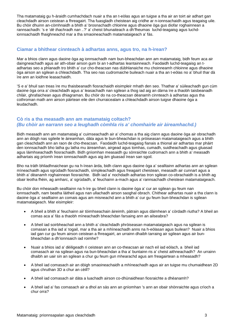Tha matamataig gu h-àraidh cumhachdach nuair a tha an t-eòlas agus an tuigse a tha air an toirt air adhart gan cleachdadh airson ceistean a fhreagairt. Tha fuasgladh cheistean aig cridhe ar n-ionnsachaidh agus teagaisg uile. Bu chòir dhuinn an-còmhnaidh a bhith a' brosnachadh chloinne agus dhaoine òga gus diofar roghainnean a rannsachadh: 's e '*dè thachradh nan ..*?' a' cheist bhunaiteach a dh'fheumas luchd-teagaisg agus luchdionnsachaidh fhaighneachd mar a tha smaoineachadh matamataigeach a' fàs.

## **Ciamar a bhithear cinnteach à adhartas anns, agus tro, na h-ìrean?**

Mar a bhios clann agus daoine òga ag ionnsachadh nam bun-bheachdan ann am matamataig, bidh feum aca air daingneachadh agus air ath-obair airson gum bi an t-adhartas leantainneach. Faodaidh luchd-teagaisg an tadhartas seo a phlanadh tro bhith a' cur cho-theacsan nas dùbhlanaiche mu choinneamh chloinne agus dhaoine òga airson an sgilean a chleachdadh. Tha seo nas cudromaiche buileach nuair a tha an t-eòlas no a' bhuil thar dà ìre ann an loidhne leasachaidh.

'S e a' bhuil san treas ìre mu thaisbeanadh fiosrachaidh eisimpleir mhath den seo. Thathar a' sùileachadh gun cùm daoine òga orra a' cleachdadh agus a' leasachadh nan sgilean a thog iad aig an dàrna ìre a thaobh taisbeanadh chlàir, ghrafaichean agus dhiagraman. Bu chòir do na co-theacsan dèanamh cinnteach à adhartas agus tha cothroman math ann airson pàirtean eile den churraicealam a chleachdadh airson tuigse dhaoine òga a leudachadh.

## **Cò ris a tha measadh ann am matamataig coltach?**  *(Bu chòir an earrann seo a leughadh còmhla ris a' chomhairle air àireamhachd.)*

Bidh measadh ann am matamataig a' cuimseachadh air a' chomas a tha aig clann agus daoine òga air obrachadh ann an dòigh nas sgileile le àireamhan, dàta agus le bun-bheachdan is pròiseasan matamataigeach agus a bhith gan cleachdadh ann an raon de cho-theacsan. Faodaidh luchd-teagaisg fianais a thional air adhartas mar phàirt den ionnsachadh bho latha gu latha mu àireamhan, airgead agus tomhas, cumadh, suidheachadh agus gluasad agus làimhseachadh fiosrachaidh. Bidh gnìomhan measaidh gu sònraichte cudromach ann a bhith a' measadh adhartais aig prìomh ìrean ionnsachaidh agus aig àm gluasad ìrean san sgoil.

Bho na tràth bhliadhnaichean gu na h-ìrean àrda, bidh clann agus daoine òga a' sealltainn adhartas ann an sgilean mìneachaidh agus sgrùdadh fiosrachaidh, sìmpleachadh agus freagairt cheistean, measadh air cunnart agus a bhith a' dèanamh roghainnean fiosraichte. Bidh iad a' nochdadh adhartas tron sgilean co-obrachaidh is a bhith ag obair leotha fhèin, ag amharc, a' sgrùdadh, a' feuchainn a-mach agus a' rannsachadh cheistean matamataigeach.

Bu chòir don mheasadh sealltainn na h-ìre gu bheil clann is daoine òga a' cur an sgilean gu feum nan ionnsachadh, nam beatha làitheil agus nan ullachadh airson saoghal obrach. Chithear adhartas nuair a tha clann is daoine òga a' sealltainn an comais agus am misneachd ann a bhith a' cur gu feum bun-bheachdan is sgilean matamataigeach. Mar eisimpleir:

- A bheil a bhith a' feuchainn air tòimhseachain àireimh, pàtrain agus dàimhean a' còrdadh riutha? A bheil an comas aca a' fàs a thaobh mìneachadh bheachdan farsaing ann an ailseabra?
- A bheil iad soirbheachail ann a bhith a' cleachdadh phròiseasan matamataigeach agus na sgilean is comasan a tha iad a' togail, mar a tha air a mhìneachadh anns na h-eòlasan agus builean? Nuair a bhios iad gan cur gu feum airson ceistean a fhreagairt, an urrainn dhaibh tarraing air sgilean agus air bunbheachdan a dh'ionnsaich iad roimhe?
- Nuair a bhios iad a' dèiligeadh ri ceistean ann an co-theacsan air nach eil iad eòlach, a bheil iad comasach air na sgilean agus na bun-bheachdan a tha a' buntainn ris a' cheist aithneachadh? An urrainn dhaibh an uair sin an sgilean a chur gu feum gun mhearachd agus am freagairtean a mheasadh?
- A bheil iad comasach air an dòigh smaoineachaidh a mhìneachadh agus air an tuigse mu chumaidhean 2D agus chruthan 3D a chur an cèill?
- A bheil iad comasach air dàta a luachadh airson co-dhùnaidhean fiosraichte a dhèanamh?
- A bheil iad a' fas comasach air a dhol an sàs ann an gnìomhan 's ann an obair shònraichte agus crìoch a chur orra?